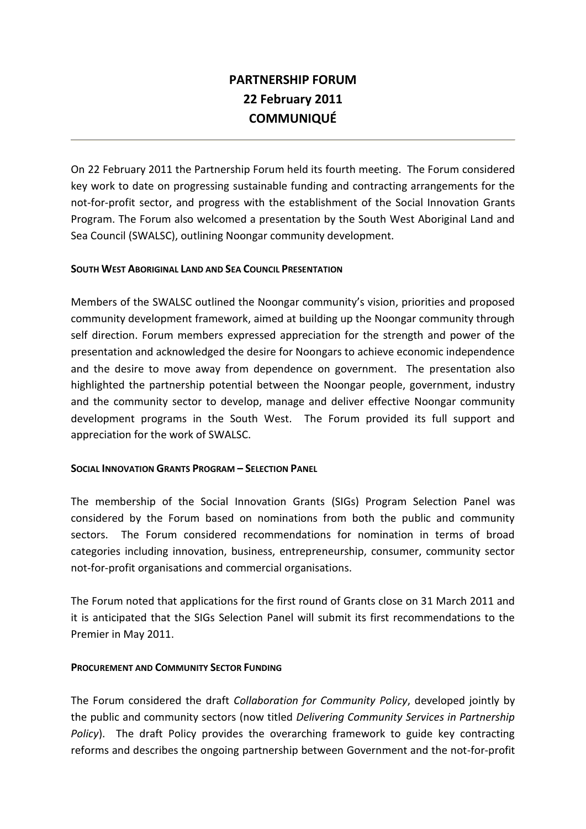# **PARTNERSHIP FORUM 22 February 2011 COMMUNIQUÉ**

On 22 February 2011 the Partnership Forum held its fourth meeting. The Forum considered key work to date on progressing sustainable funding and contracting arrangements for the not-for-profit sector, and progress with the establishment of the Social Innovation Grants Program. The Forum also welcomed a presentation by the South West Aboriginal Land and Sea Council (SWALSC), outlining Noongar community development.

## **SOUTH WEST ABORIGINAL LAND AND SEA COUNCIL PRESENTATION**

Members of the SWALSC outlined the Noongar community's vision, priorities and proposed community development framework, aimed at building up the Noongar community through self direction. Forum members expressed appreciation for the strength and power of the presentation and acknowledged the desire for Noongars to achieve economic independence and the desire to move away from dependence on government. The presentation also highlighted the partnership potential between the Noongar people, government, industry and the community sector to develop, manage and deliver effective Noongar community development programs in the South West. The Forum provided its full support and appreciation for the work of SWALSC.

## **SOCIAL INNOVATION GRANTS PROGRAM – SELECTION PANEL**

The membership of the Social Innovation Grants (SIGs) Program Selection Panel was considered by the Forum based on nominations from both the public and community sectors. The Forum considered recommendations for nomination in terms of broad categories including innovation, business, entrepreneurship, consumer, community sector not-for-profit organisations and commercial organisations.

The Forum noted that applications for the first round of Grants close on 31 March 2011 and it is anticipated that the SIGs Selection Panel will submit its first recommendations to the Premier in May 2011.

## **PROCUREMENT AND COMMUNITY SECTOR FUNDING**

The Forum considered the draft *Collaboration for Community Policy*, developed jointly by the public and community sectors (now titled *Delivering Community Services in Partnership Policy*). The draft Policy provides the overarching framework to guide key contracting reforms and describes the ongoing partnership between Government and the not-for-profit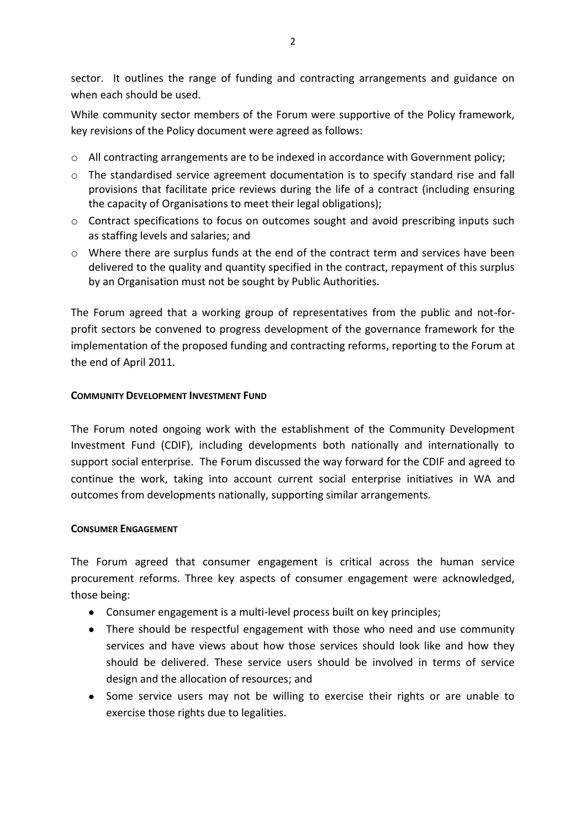sector. It outlines the range of funding and contracting arrangements and guidance on when each should be used.

While community sector members of the Forum were supportive of the Policy framework, key revisions of the Policy document were agreed as follows:

- o All contracting arrangements are to be indexed in accordance with Government policy;
- o The standardised service agreement documentation is to specify standard rise and fall provisions that facilitate price reviews during the life of a contract (including ensuring the capacity of Organisations to meet their legal obligations);
- o Contract specifications to focus on outcomes sought and avoid prescribing inputs such as staffing levels and salaries; and
- o Where there are surplus funds at the end of the contract term and services have been delivered to the quality and quantity specified in the contract, repayment of this surplus by an Organisation must not be sought by Public Authorities.

The Forum agreed that a working group of representatives from the public and not-forprofit sectors be convened to progress development of the governance framework for the implementation of the proposed funding and contracting reforms, reporting to the Forum at the end of April 2011.

## **COMMUNITY DEVELOPMENT INVESTMENT FUND**

The Forum noted ongoing work with the establishment of the Community Development Investment Fund (CDIF), including developments both nationally and internationally to support social enterprise. The Forum discussed the way forward for the CDIF and agreed to continue the work, taking into account current social enterprise initiatives in WA and outcomes from developments nationally, supporting similar arrangements.

## **CONSUMER ENGAGEMENT**

The Forum agreed that consumer engagement is critical across the human service procurement reforms. Three key aspects of consumer engagement were acknowledged, those being:

- Consumer engagement is a multi-level process built on key principles;
- There should be respectful engagement with those who need and use community services and have views about how those services should look like and how they should be delivered. These service users should be involved in terms of service design and the allocation of resources; and
- Some service users may not be willing to exercise their rights or are unable to exercise those rights due to legalities.